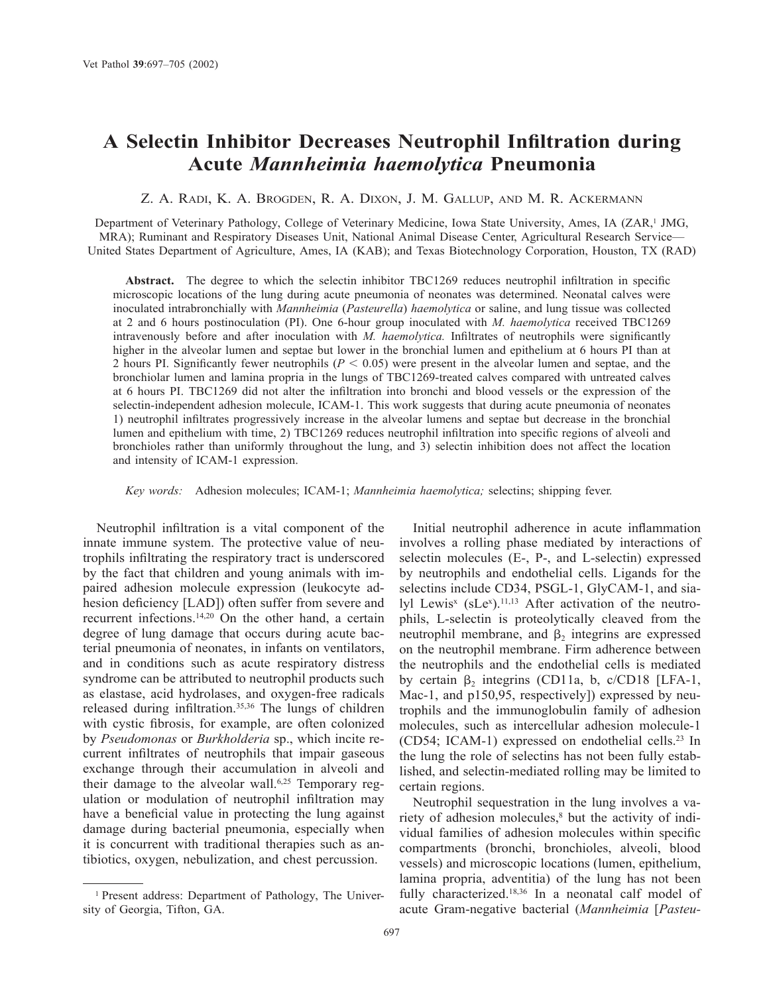# **A Selectin Inhibitor Decreases Neutrophil Infiltration during Acute** *Mannheimia haemolytica* **Pneumonia**

# Z. A. RADI, K. A. BROGDEN, R. A. DIXON, J. M. GALLUP, AND M. R. ACKERMANN

Department of Veterinary Pathology, College of Veterinary Medicine, Iowa State University, Ames, IA (ZAR,<sup>1</sup> JMG, MRA); Ruminant and Respiratory Diseases Unit, National Animal Disease Center, Agricultural Research Service— United States Department of Agriculture, Ames, IA (KAB); and Texas Biotechnology Corporation, Houston, TX (RAD)

**Abstract.** The degree to which the selectin inhibitor TBC1269 reduces neutrophil infiltration in specific microscopic locations of the lung during acute pneumonia of neonates was determined. Neonatal calves were inoculated intrabronchially with *Mannheimia* (*Pasteurella*) *haemolytica* or saline, and lung tissue was collected at 2 and 6 hours postinoculation (PI). One 6-hour group inoculated with *M. haemolytica* received TBC1269 intravenously before and after inoculation with *M. haemolytica.* Infiltrates of neutrophils were significantly higher in the alveolar lumen and septae but lower in the bronchial lumen and epithelium at 6 hours PI than at 2 hours PI. Significantly fewer neutrophils ( $P < 0.05$ ) were present in the alveolar lumen and septae, and the bronchiolar lumen and lamina propria in the lungs of TBC1269-treated calves compared with untreated calves at 6 hours PI. TBC1269 did not alter the infiltration into bronchi and blood vessels or the expression of the selectin-independent adhesion molecule, ICAM-1. This work suggests that during acute pneumonia of neonates 1) neutrophil infiltrates progressively increase in the alveolar lumens and septae but decrease in the bronchial lumen and epithelium with time, 2) TBC1269 reduces neutrophil infiltration into specific regions of alveoli and bronchioles rather than uniformly throughout the lung, and 3) selectin inhibition does not affect the location and intensity of ICAM-1 expression.

*Key words:* Adhesion molecules; ICAM-1; *Mannheimia haemolytica;* selectins; shipping fever.

Neutrophil infiltration is a vital component of the innate immune system. The protective value of neutrophils infiltrating the respiratory tract is underscored by the fact that children and young animals with impaired adhesion molecule expression (leukocyte adhesion deficiency [LAD]) often suffer from severe and recurrent infections.14,20 On the other hand, a certain degree of lung damage that occurs during acute bacterial pneumonia of neonates, in infants on ventilators, and in conditions such as acute respiratory distress syndrome can be attributed to neutrophil products such as elastase, acid hydrolases, and oxygen-free radicals released during infiltration.35,36 The lungs of children with cystic fibrosis, for example, are often colonized by *Pseudomonas* or *Burkholderia* sp., which incite recurrent infiltrates of neutrophils that impair gaseous exchange through their accumulation in alveoli and their damage to the alveolar wall.<sup>6,25</sup> Temporary regulation or modulation of neutrophil infiltration may have a beneficial value in protecting the lung against damage during bacterial pneumonia, especially when it is concurrent with traditional therapies such as antibiotics, oxygen, nebulization, and chest percussion.

Initial neutrophil adherence in acute inflammation involves a rolling phase mediated by interactions of selectin molecules (E-, P-, and L-selectin) expressed by neutrophils and endothelial cells. Ligands for the selectins include CD34, PSGL-1, GlyCAM-1, and sialyl Lewis<sup>x</sup> (sLe<sup>x</sup>).<sup>11,13</sup> After activation of the neutrophils, L-selectin is proteolytically cleaved from the neutrophil membrane, and  $\beta_2$  integrins are expressed on the neutrophil membrane. Firm adherence between the neutrophils and the endothelial cells is mediated by certain  $\beta_2$  integrins (CD11a, b, c/CD18 [LFA-1, Mac-1, and p150,95, respectively]) expressed by neutrophils and the immunoglobulin family of adhesion molecules, such as intercellular adhesion molecule-1 (CD54; ICAM-1) expressed on endothelial cells.23 In the lung the role of selectins has not been fully established, and selectin-mediated rolling may be limited to certain regions.

Neutrophil sequestration in the lung involves a variety of adhesion molecules,<sup>8</sup> but the activity of individual families of adhesion molecules within specific compartments (bronchi, bronchioles, alveoli, blood vessels) and microscopic locations (lumen, epithelium, lamina propria, adventitia) of the lung has not been fully characterized.18,36 In a neonatal calf model of acute Gram-negative bacterial (*Mannheimia* [*Pasteu-*

<sup>1</sup> Present address: Department of Pathology, The University of Georgia, Tifton, GA.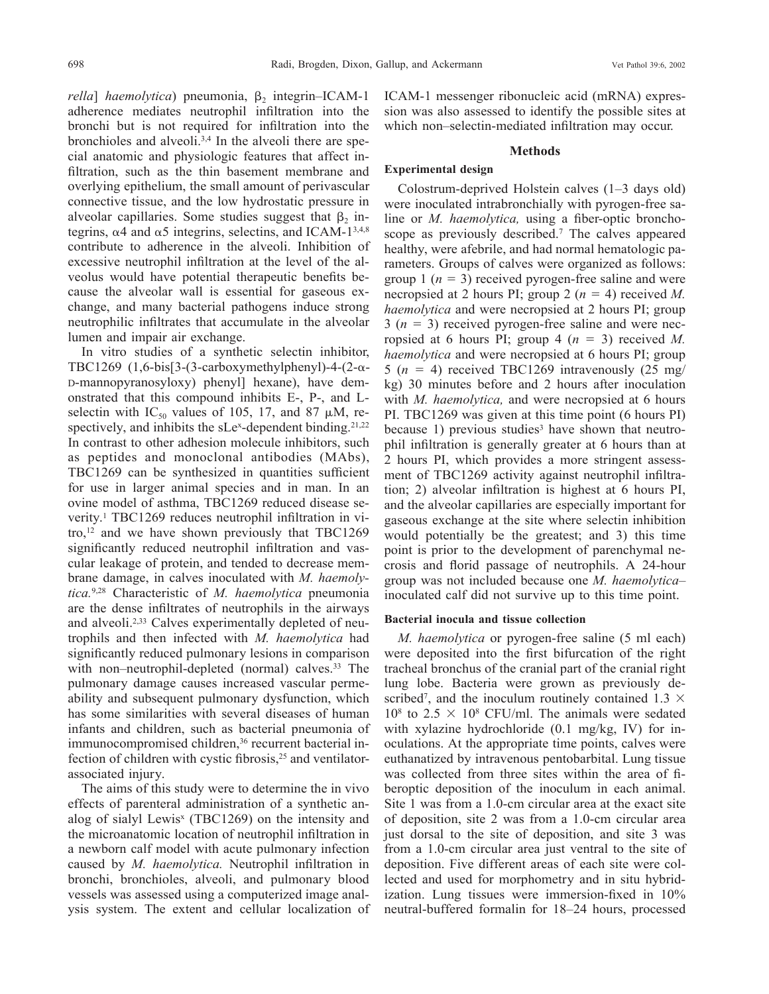*rella*] *haemolytica*) pneumonia,  $\beta_2$  integrin–ICAM-1 adherence mediates neutrophil infiltration into the bronchi but is not required for infiltration into the bronchioles and alveoli.3,4 In the alveoli there are special anatomic and physiologic features that affect infiltration, such as the thin basement membrane and overlying epithelium, the small amount of perivascular connective tissue, and the low hydrostatic pressure in alveolar capillaries. Some studies suggest that  $\beta_2$  integrins,  $\alpha$ 4 and  $\alpha$ 5 integrins, selectins, and ICAM-1<sup>3,4,8</sup> contribute to adherence in the alveoli. Inhibition of excessive neutrophil infiltration at the level of the alveolus would have potential therapeutic benefits because the alveolar wall is essential for gaseous exchange, and many bacterial pathogens induce strong neutrophilic infiltrates that accumulate in the alveolar lumen and impair air exchange.

In vitro studies of a synthetic selectin inhibitor, TBC1269  $(1,6-bis[3-(3-carboxymethylphenyl)-4-(2- $\alpha$ -1)$ D-mannopyranosyloxy) phenyl] hexane), have demonstrated that this compound inhibits E-, P-, and Lselectin with  $IC_{50}$  values of 105, 17, and 87  $\mu$ M, respectively, and inhibits the sLe<sup>x</sup>-dependent binding.<sup>21,22</sup> In contrast to other adhesion molecule inhibitors, such as peptides and monoclonal antibodies (MAbs), TBC1269 can be synthesized in quantities sufficient for use in larger animal species and in man. In an ovine model of asthma, TBC1269 reduced disease severity.<sup>1</sup> TBC1269 reduces neutrophil infiltration in vitro, $12$  and we have shown previously that TBC1269 significantly reduced neutrophil infiltration and vascular leakage of protein, and tended to decrease membrane damage, in calves inoculated with *M. haemolytica.*9,28 Characteristic of *M. haemolytica* pneumonia are the dense infiltrates of neutrophils in the airways and alveoli.<sup>2,33</sup> Calves experimentally depleted of neutrophils and then infected with *M. haemolytica* had significantly reduced pulmonary lesions in comparison with non–neutrophil-depleted (normal) calves.<sup>33</sup> The pulmonary damage causes increased vascular permeability and subsequent pulmonary dysfunction, which has some similarities with several diseases of human infants and children, such as bacterial pneumonia of immunocompromised children,<sup>36</sup> recurrent bacterial infection of children with cystic fibrosis,<sup>25</sup> and ventilatorassociated injury.

The aims of this study were to determine the in vivo effects of parenteral administration of a synthetic analog of sialyl Lewis<sup>x</sup> (TBC1269) on the intensity and the microanatomic location of neutrophil infiltration in a newborn calf model with acute pulmonary infection caused by *M. haemolytica.* Neutrophil infiltration in bronchi, bronchioles, alveoli, and pulmonary blood vessels was assessed using a computerized image analysis system. The extent and cellular localization of ICAM-1 messenger ribonucleic acid (mRNA) expression was also assessed to identify the possible sites at which non–selectin-mediated infiltration may occur.

## **Methods**

## **Experimental design**

Colostrum-deprived Holstein calves (1–3 days old) were inoculated intrabronchially with pyrogen-free saline or *M. haemolytica,* using a fiber-optic bronchoscope as previously described.7 The calves appeared healthy, were afebrile, and had normal hematologic parameters. Groups of calves were organized as follows: group 1 ( $n = 3$ ) received pyrogen-free saline and were necropsied at 2 hours PI; group 2 ( $n = 4$ ) received *M*. *haemolytica* and were necropsied at 2 hours PI; group  $3(n = 3)$  received pyrogen-free saline and were necropsied at 6 hours PI; group 4  $(n = 3)$  received M. *haemolytica* and were necropsied at 6 hours PI; group 5 ( $n = 4$ ) received TBC1269 intravenously (25 mg/ kg) 30 minutes before and 2 hours after inoculation with *M. haemolytica,* and were necropsied at 6 hours PI. TBC1269 was given at this time point (6 hours PI) because 1) previous studies<sup>3</sup> have shown that neutrophil infiltration is generally greater at 6 hours than at 2 hours PI, which provides a more stringent assessment of TBC1269 activity against neutrophil infiltration; 2) alveolar infiltration is highest at 6 hours PI, and the alveolar capillaries are especially important for gaseous exchange at the site where selectin inhibition would potentially be the greatest; and 3) this time point is prior to the development of parenchymal necrosis and florid passage of neutrophils. A 24-hour group was not included because one *M. haemolytica*– inoculated calf did not survive up to this time point.

## **Bacterial inocula and tissue collection**

*M. haemolytica* or pyrogen-free saline (5 ml each) were deposited into the first bifurcation of the right tracheal bronchus of the cranial part of the cranial right lung lobe. Bacteria were grown as previously described<sup>7</sup>, and the inoculum routinely contained  $1.3 \times$  $10^8$  to  $2.5 \times 10^8$  CFU/ml. The animals were sedated with xylazine hydrochloride (0.1 mg/kg, IV) for inoculations. At the appropriate time points, calves were euthanatized by intravenous pentobarbital. Lung tissue was collected from three sites within the area of fiberoptic deposition of the inoculum in each animal. Site 1 was from a 1.0-cm circular area at the exact site of deposition, site 2 was from a 1.0-cm circular area just dorsal to the site of deposition, and site 3 was from a 1.0-cm circular area just ventral to the site of deposition. Five different areas of each site were collected and used for morphometry and in situ hybridization. Lung tissues were immersion-fixed in 10% neutral-buffered formalin for 18–24 hours, processed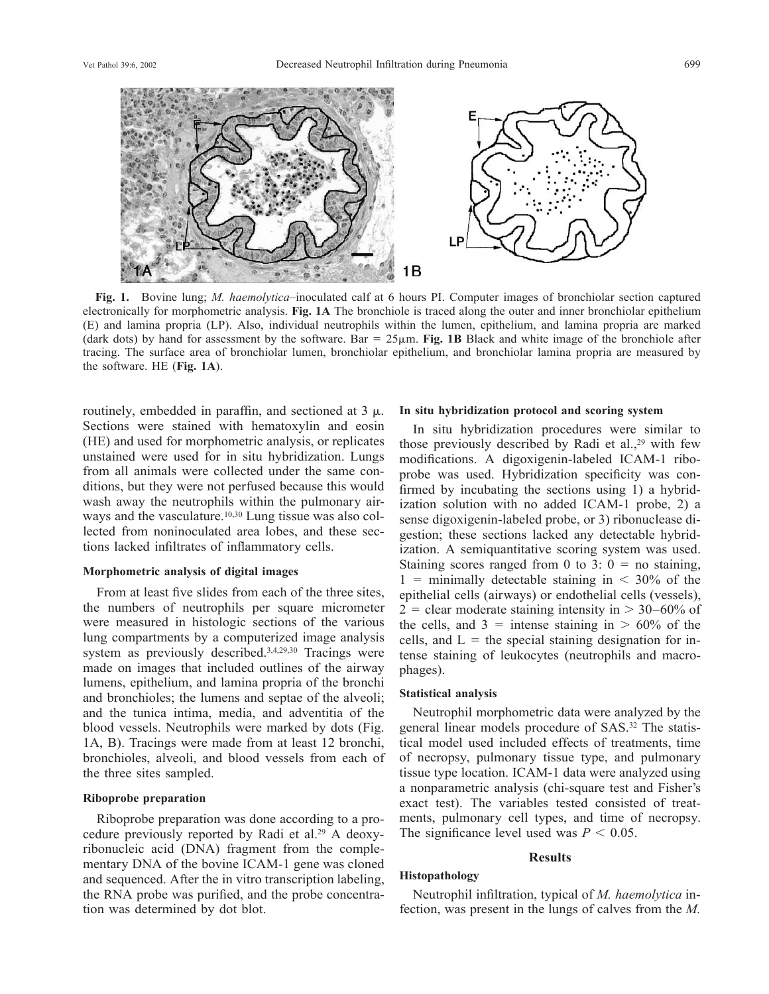

**Fig. 1.** Bovine lung; *M. haemolytica*–inoculated calf at 6 hours PI. Computer images of bronchiolar section captured electronically for morphometric analysis. **Fig. 1A** The bronchiole is traced along the outer and inner bronchiolar epithelium (E) and lamina propria (LP). Also, individual neutrophils within the lumen, epithelium, and lamina propria are marked (dark dots) by hand for assessment by the software. Bar  $= 25 \mu m$ . Fig. 1B Black and white image of the bronchiole after tracing. The surface area of bronchiolar lumen, bronchiolar epithelium, and bronchiolar lamina propria are measured by the software. HE (**Fig. 1A**).

routinely, embedded in paraffin, and sectioned at  $3 \mu$ . Sections were stained with hematoxylin and eosin (HE) and used for morphometric analysis, or replicates unstained were used for in situ hybridization. Lungs from all animals were collected under the same conditions, but they were not perfused because this would wash away the neutrophils within the pulmonary airways and the vasculature.<sup>10,30</sup> Lung tissue was also collected from noninoculated area lobes, and these sections lacked infiltrates of inflammatory cells.

## **Morphometric analysis of digital images**

From at least five slides from each of the three sites, the numbers of neutrophils per square micrometer were measured in histologic sections of the various lung compartments by a computerized image analysis system as previously described.3,4,29,30 Tracings were made on images that included outlines of the airway lumens, epithelium, and lamina propria of the bronchi and bronchioles; the lumens and septae of the alveoli; and the tunica intima, media, and adventitia of the blood vessels. Neutrophils were marked by dots (Fig. 1A, B). Tracings were made from at least 12 bronchi, bronchioles, alveoli, and blood vessels from each of the three sites sampled.

#### **Riboprobe preparation**

Riboprobe preparation was done according to a procedure previously reported by Radi et al.29 A deoxyribonucleic acid (DNA) fragment from the complementary DNA of the bovine ICAM-1 gene was cloned and sequenced. After the in vitro transcription labeling, the RNA probe was purified, and the probe concentration was determined by dot blot.

#### **In situ hybridization protocol and scoring system**

In situ hybridization procedures were similar to those previously described by Radi et al.,<sup>29</sup> with few modifications. A digoxigenin-labeled ICAM-1 riboprobe was used. Hybridization specificity was confirmed by incubating the sections using 1) a hybridization solution with no added ICAM-1 probe, 2) a sense digoxigenin-labeled probe, or 3) ribonuclease digestion; these sections lacked any detectable hybridization. A semiquantitative scoring system was used. Staining scores ranged from 0 to 3:  $0 =$  no staining,  $1 =$  minimally detectable staining in  $\lt$  30% of the epithelial cells (airways) or endothelial cells (vessels),  $2 =$  clear moderate staining intensity in  $> 30-60\%$  of the cells, and  $3 =$  intense staining in  $> 60\%$  of the cells, and  $L =$  the special staining designation for intense staining of leukocytes (neutrophils and macrophages).

## **Statistical analysis**

Neutrophil morphometric data were analyzed by the general linear models procedure of SAS.32 The statistical model used included effects of treatments, time of necropsy, pulmonary tissue type, and pulmonary tissue type location. ICAM-1 data were analyzed using a nonparametric analysis (chi-square test and Fisher's exact test). The variables tested consisted of treatments, pulmonary cell types, and time of necropsy. The significance level used was  $P < 0.05$ .

#### **Results**

# **Histopathology**

Neutrophil infiltration, typical of *M. haemolytica* infection, was present in the lungs of calves from the *M.*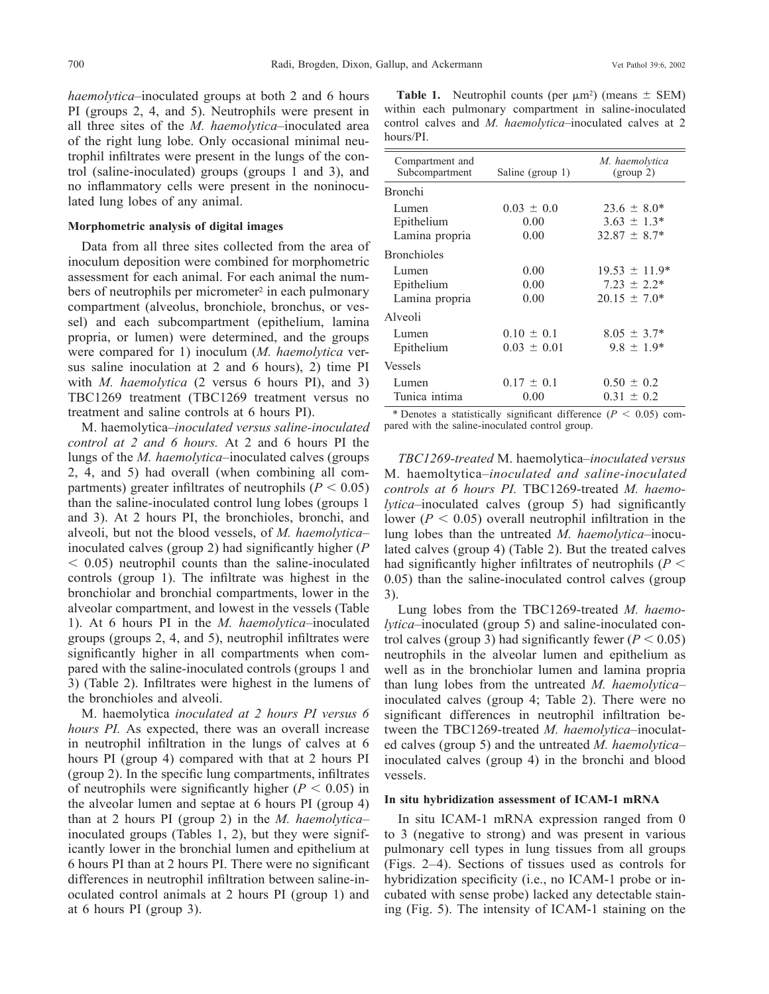*haemolytica*–inoculated groups at both 2 and 6 hours PI (groups 2, 4, and 5). Neutrophils were present in all three sites of the *M. haemolytica*–inoculated area of the right lung lobe. Only occasional minimal neutrophil infiltrates were present in the lungs of the control (saline-inoculated) groups (groups 1 and 3), and no inflammatory cells were present in the noninoculated lung lobes of any animal.

## **Morphometric analysis of digital images**

Data from all three sites collected from the area of inoculum deposition were combined for morphometric assessment for each animal. For each animal the numbers of neutrophils per micrometer<sup>2</sup> in each pulmonary compartment (alveolus, bronchiole, bronchus, or vessel) and each subcompartment (epithelium, lamina propria, or lumen) were determined, and the groups were compared for 1) inoculum (*M. haemolytica* versus saline inoculation at 2 and 6 hours), 2) time PI with *M. haemolytica* (2 versus 6 hours PI), and 3) TBC1269 treatment (TBC1269 treatment versus no treatment and saline controls at 6 hours PI).

M. haemolytica–*inoculated versus saline-inoculated control at 2 and 6 hours.* At 2 and 6 hours PI the lungs of the *M. haemolytica*–inoculated calves (groups 2, 4, and 5) had overall (when combining all compartments) greater infiltrates of neutrophils ( $P < 0.05$ ) than the saline-inoculated control lung lobes (groups 1 and 3). At 2 hours PI, the bronchioles, bronchi, and alveoli, but not the blood vessels, of *M. haemolytica*– inoculated calves (group 2) had significantly higher (*P* - 0.05) neutrophil counts than the saline-inoculated controls (group 1). The infiltrate was highest in the bronchiolar and bronchial compartments, lower in the alveolar compartment, and lowest in the vessels (Table 1). At 6 hours PI in the *M. haemolytica*–inoculated groups (groups 2, 4, and 5), neutrophil infiltrates were significantly higher in all compartments when compared with the saline-inoculated controls (groups 1 and 3) (Table 2). Infiltrates were highest in the lumens of the bronchioles and alveoli.

M. haemolytica *inoculated at 2 hours PI versus 6 hours PI.* As expected, there was an overall increase in neutrophil infiltration in the lungs of calves at 6 hours PI (group 4) compared with that at 2 hours PI (group 2). In the specific lung compartments, infiltrates of neutrophils were significantly higher  $(P < 0.05)$  in the alveolar lumen and septae at 6 hours PI (group 4) than at 2 hours PI (group 2) in the *M. haemolytica*– inoculated groups (Tables 1, 2), but they were significantly lower in the bronchial lumen and epithelium at 6 hours PI than at 2 hours PI. There were no significant differences in neutrophil infiltration between saline-inoculated control animals at 2 hours PI (group 1) and at 6 hours PI (group 3).

**Table 1.** Neutrophil counts (per  $\mu$ m<sup>2</sup>) (means  $\pm$  SEM) within each pulmonary compartment in saline-inoculated control calves and *M. haemolytica*–inoculated calves at 2 hours/PI.

| Compartment and<br>Subcompartment     | Saline (group 1)                  | M. haemolytica<br>(group 2)                                |
|---------------------------------------|-----------------------------------|------------------------------------------------------------|
| <b>Bronchi</b>                        |                                   |                                                            |
| Lumen<br>Epithelium<br>Lamina propria | $0.03 \pm 0.0$<br>0.00<br>0.00    | $23.6 \pm 8.0^*$<br>$3.63 \pm 1.3^*$<br>$32.87 \pm 8.7^*$  |
| <b>Bronchioles</b>                    |                                   |                                                            |
| Lumen<br>Epithelium<br>Lamina propria | 0.00<br>0.00<br>0.00              | $19.53 \pm 11.9*$<br>$7.23 \pm 2.2^*$<br>$20.15 \pm 7.0^*$ |
| Alveoli                               |                                   |                                                            |
| Lumen<br>Epithelium                   | $0.10 \pm 0.1$<br>$0.03 \pm 0.01$ | $8.05 \pm 3.7*$<br>$9.8 \pm 1.9*$                          |
| <b>Vessels</b>                        |                                   |                                                            |
| Lumen<br>Tunica intima                | $0.17 \pm 0.1$<br>0.00            | $0.50 \pm 0.2$<br>$0.31 \pm 0.2$                           |

\* Denotes a statistically significant difference ( $P < 0.05$ ) compared with the saline-inoculated control group.

*TBC1269-treated* M. haemolytica*–inoculated versus* M. haemoltytica*–inoculated and saline-inoculated controls at 6 hours PI.* TBC1269-treated *M. haemolytica*–inoculated calves (group 5) had significantly lower ( $P < 0.05$ ) overall neutrophil infiltration in the lung lobes than the untreated *M. haemolytica*–inoculated calves (group 4) (Table 2). But the treated calves had significantly higher infiltrates of neutrophils ( $P <$ 0.05) than the saline-inoculated control calves (group 3).

Lung lobes from the TBC1269-treated *M. haemolytica*–inoculated (group 5) and saline-inoculated control calves (group 3) had significantly fewer  $(P < 0.05)$ neutrophils in the alveolar lumen and epithelium as well as in the bronchiolar lumen and lamina propria than lung lobes from the untreated *M. haemolytica*– inoculated calves (group 4; Table 2). There were no significant differences in neutrophil infiltration between the TBC1269-treated *M. haemolytica*–inoculated calves (group 5) and the untreated *M. haemolytica*– inoculated calves (group 4) in the bronchi and blood vessels.

## **In situ hybridization assessment of ICAM-1 mRNA**

In situ ICAM-1 mRNA expression ranged from 0 to 3 (negative to strong) and was present in various pulmonary cell types in lung tissues from all groups (Figs. 2–4). Sections of tissues used as controls for hybridization specificity (i.e., no ICAM-1 probe or incubated with sense probe) lacked any detectable staining (Fig. 5). The intensity of ICAM-1 staining on the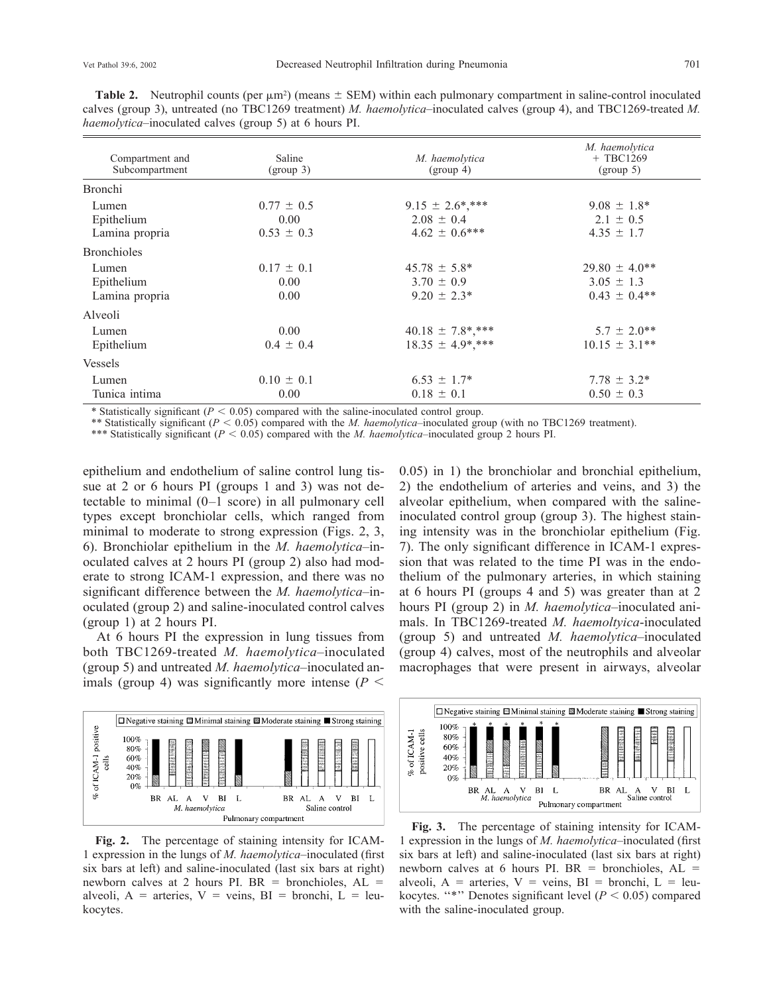**Table 2.** Neutrophil counts (per  $\mu$ m<sup>2</sup>) (means  $\pm$  SEM) within each pulmonary compartment in saline-control inoculated calves (group 3), untreated (no TBC1269 treatment) *M. haemolytica*–inoculated calves (group 4), and TBC1269-treated *M. haemolytica*–inoculated calves (group 5) at 6 hours PI.

| Compartment and<br>Subcompartment                                                                                                                 | Saline<br>(group 3)                      | M. haemolytica<br>(group 4)                                                                                                                           | M. haemolytica<br>$+$ TBC1269<br>(group 5)              |
|---------------------------------------------------------------------------------------------------------------------------------------------------|------------------------------------------|-------------------------------------------------------------------------------------------------------------------------------------------------------|---------------------------------------------------------|
| <b>Bronchi</b>                                                                                                                                    |                                          |                                                                                                                                                       |                                                         |
| Lumen<br>Epithelium<br>Lamina propria                                                                                                             | $0.77 \pm 0.5$<br>0.00<br>$0.53 \pm 0.3$ | $9.15 \pm 2.6$ <sup>*</sup> ,***<br>$2.08 \pm 0.4$<br>$4.62 \pm 0.6$ ***                                                                              | $9.08 \pm 1.8^*$<br>$2.1 \pm 0.5$<br>$4.35 \pm 1.7$     |
| <b>Bronchioles</b>                                                                                                                                |                                          |                                                                                                                                                       |                                                         |
| Lumen<br>Epithelium<br>Lamina propria                                                                                                             | $0.17 \pm 0.1$<br>0.00<br>0.00           | $45.78 \pm 5.8^*$<br>$3.70 \pm 0.9$<br>$9.20 \pm 2.3^*$                                                                                               | $29.80 \pm 4.0**$<br>$3.05 \pm 1.3$<br>$0.43 \pm 0.4**$ |
| Alveoli                                                                                                                                           |                                          |                                                                                                                                                       |                                                         |
| Lumen<br>Epithelium                                                                                                                               | 0.00<br>$0.4 \pm 0.4$                    | $40.18 \pm 7.8$ *,***<br>$18.35 \pm 4.9$ ***                                                                                                          | $5.7 \pm 2.0**$<br>$10.15 \pm 3.1**$                    |
| Vessels                                                                                                                                           |                                          |                                                                                                                                                       |                                                         |
| Lumen<br>Tunica intima<br>$\mathcal{L}(\mathcal{O})$ and $\mathcal{O}(\mathcal{O})$ and $\mathcal{O}(\mathcal{O})$ and $\mathcal{O}(\mathcal{O})$ | $0.10 \pm 0.1$<br>0.00                   | $6.53 \pm 1.7^*$<br>$0.18 \pm 0.1$<br>the contract of the contract of the contract of the contract of the contract of the contract of the contract of | $7.78 \pm 3.2^*$<br>$0.50 \pm 0.3$                      |

\* Statistically significant ( $P < 0.05$ ) compared with the saline-inoculated control group.

\*\* Statistically significant (*P* < 0.05) compared with the *M. haemolytica*–inoculated group (with no TBC1269 treatment).

\*\*\* Statistically significant ( $P < 0.05$ ) compared with the *M. haemolytica*–inoculated group 2 hours PI.

epithelium and endothelium of saline control lung tissue at 2 or 6 hours PI (groups 1 and 3) was not detectable to minimal (0–1 score) in all pulmonary cell types except bronchiolar cells, which ranged from minimal to moderate to strong expression (Figs. 2, 3, 6). Bronchiolar epithelium in the *M. haemolytica*–inoculated calves at 2 hours PI (group 2) also had moderate to strong ICAM-1 expression, and there was no significant difference between the *M. haemolytica*–inoculated (group 2) and saline-inoculated control calves (group 1) at 2 hours PI.

At 6 hours PI the expression in lung tissues from both TBC1269-treated *M. haemolytica*–inoculated (group 5) and untreated *M. haemolytica*–inoculated animals (group 4) was significantly more intense  $(P \leq$ 



**Fig. 2.** The percentage of staining intensity for ICAM-1 expression in the lungs of *M. haemolytica*–inoculated (first six bars at left) and saline-inoculated (last six bars at right) newborn calves at 2 hours PI. BR = bronchioles,  $AL =$ alveoli,  $A =$  arteries,  $V =$  veins,  $BI =$  bronchi,  $L =$  leukocytes.

0.05) in 1) the bronchiolar and bronchial epithelium, 2) the endothelium of arteries and veins, and 3) the alveolar epithelium, when compared with the salineinoculated control group (group 3). The highest staining intensity was in the bronchiolar epithelium (Fig. 7). The only significant difference in ICAM-1 expression that was related to the time PI was in the endothelium of the pulmonary arteries, in which staining at 6 hours PI (groups 4 and 5) was greater than at 2 hours PI (group 2) in *M. haemolytica*–inoculated animals. In TBC1269-treated *M. haemoltyica*-inoculated (group 5) and untreated *M. haemolytica*–inoculated (group 4) calves, most of the neutrophils and alveolar macrophages that were present in airways, alveolar



**Fig. 3.** The percentage of staining intensity for ICAM-1 expression in the lungs of *M. haemolytica*–inoculated (first six bars at left) and saline-inoculated (last six bars at right) newborn calves at 6 hours PI. BR = bronchioles,  $AL =$ alveoli,  $A =$  arteries,  $V =$  veins,  $BI =$  bronchi,  $L =$  leukocytes. "\*" Denotes significant level ( $P < 0.05$ ) compared with the saline-inoculated group.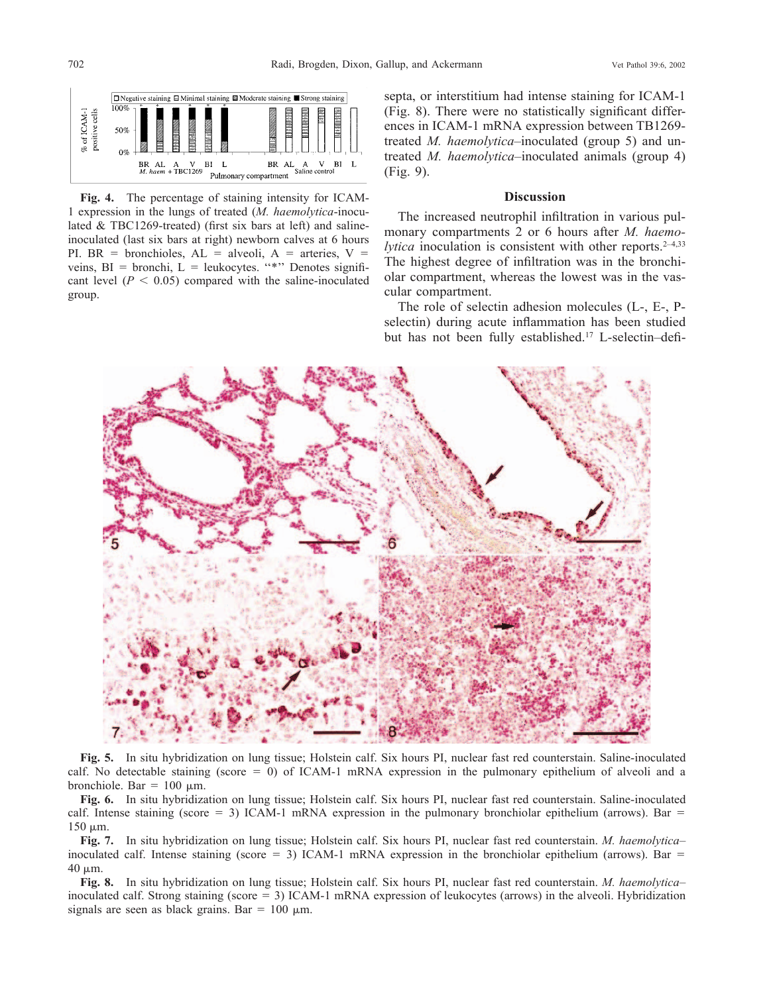

**Fig. 4.** The percentage of staining intensity for ICAM-1 expression in the lungs of treated (*M. haemolytica*-inoculated & TBC1269-treated) (first six bars at left) and salineinoculated (last six bars at right) newborn calves at 6 hours PI. BR = bronchioles,  $AL = alveoli$ ,  $A = arteries$ ,  $V =$ veins,  $BI = bronchi$ ,  $L = leukocytes$ . "\*" Denotes significant level  $(P < 0.05)$  compared with the saline-inoculated group.

septa, or interstitium had intense staining for ICAM-1 (Fig. 8). There were no statistically significant differences in ICAM-1 mRNA expression between TB1269 treated *M. haemolytica*–inoculated (group 5) and untreated *M. haemolytica*–inoculated animals (group 4) (Fig. 9).

## **Discussion**

The increased neutrophil infiltration in various pulmonary compartments 2 or 6 hours after *M. haemolytica* inoculation is consistent with other reports.<sup>2-4,33</sup> The highest degree of infiltration was in the bronchiolar compartment, whereas the lowest was in the vascular compartment.

The role of selectin adhesion molecules (L-, E-, Pselectin) during acute inflammation has been studied but has not been fully established.17 L-selectin–defi-



**Fig. 5.** In situ hybridization on lung tissue; Holstein calf. Six hours PI, nuclear fast red counterstain. Saline-inoculated calf. No detectable staining (score  $= 0$ ) of ICAM-1 mRNA expression in the pulmonary epithelium of alveoli and a bronchiole. Bar =  $100 \mu$ m.

**Fig. 6.** In situ hybridization on lung tissue; Holstein calf. Six hours PI, nuclear fast red counterstain. Saline-inoculated calf. Intense staining (score  $= 3$ ) ICAM-1 mRNA expression in the pulmonary bronchiolar epithelium (arrows). Bar  $=$  $150 \mu m$ .

**Fig. 7.** In situ hybridization on lung tissue; Holstein calf. Six hours PI, nuclear fast red counterstain. *M. haemolytica*– inoculated calf. Intense staining (score  $= 3$ ) ICAM-1 mRNA expression in the bronchiolar epithelium (arrows). Bar  $=$ 40 m.

**Fig. 8.** In situ hybridization on lung tissue; Holstein calf. Six hours PI, nuclear fast red counterstain. *M. haemolytica*– inoculated calf. Strong staining (score = 3) ICAM-1 mRNA expression of leukocytes (arrows) in the alveoli. Hybridization signals are seen as black grains. Bar =  $100 \mu m$ .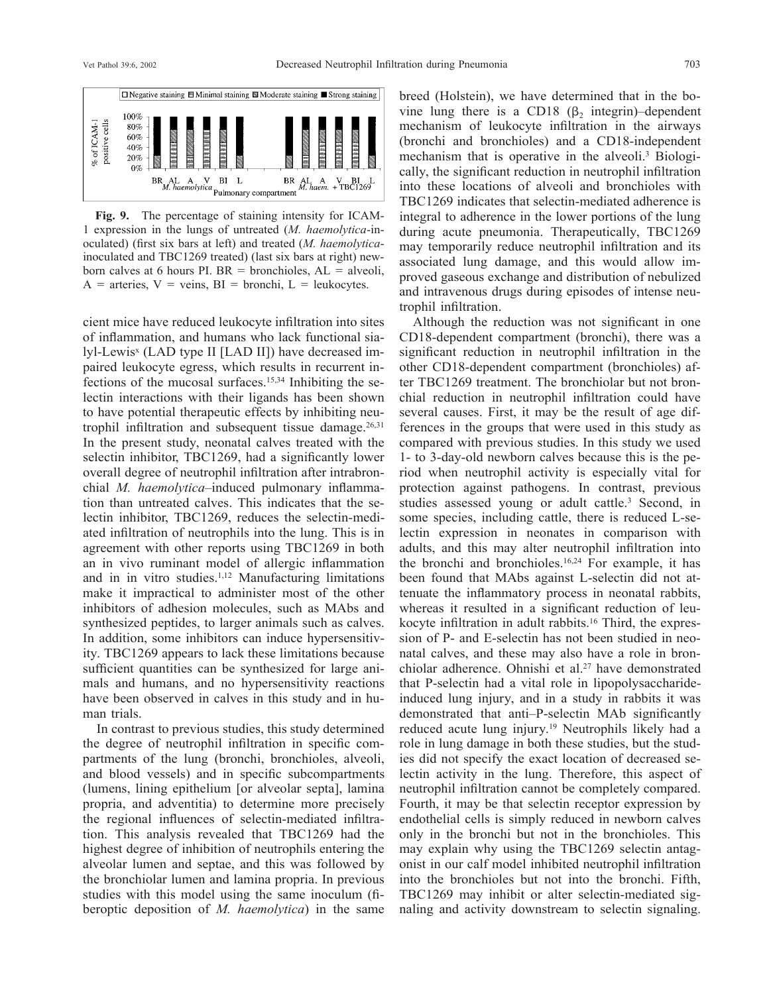

**Fig. 9.** The percentage of staining intensity for ICAM-1 expression in the lungs of untreated (*M. haemolytica*-inoculated) (first six bars at left) and treated (*M. haemolytica*inoculated and TBC1269 treated) (last six bars at right) newborn calves at 6 hours PI.  $BR =$  bronchioles,  $AL =$  alveoli,  $A =$  arteries,  $V =$  veins,  $BI =$  bronchi,  $L =$  leukocytes.

cient mice have reduced leukocyte infiltration into sites of inflammation, and humans who lack functional sialyl-Lewis<sup>x</sup> (LAD type II [LAD II]) have decreased impaired leukocyte egress, which results in recurrent infections of the mucosal surfaces.15,34 Inhibiting the selectin interactions with their ligands has been shown to have potential therapeutic effects by inhibiting neutrophil infiltration and subsequent tissue damage.<sup>26,31</sup> In the present study, neonatal calves treated with the selectin inhibitor, TBC1269, had a significantly lower overall degree of neutrophil infiltration after intrabronchial *M. haemolytica*–induced pulmonary inflammation than untreated calves. This indicates that the selectin inhibitor, TBC1269, reduces the selectin-mediated infiltration of neutrophils into the lung. This is in agreement with other reports using TBC1269 in both an in vivo ruminant model of allergic inflammation and in in vitro studies.1,12 Manufacturing limitations make it impractical to administer most of the other inhibitors of adhesion molecules, such as MAbs and synthesized peptides, to larger animals such as calves. In addition, some inhibitors can induce hypersensitivity. TBC1269 appears to lack these limitations because sufficient quantities can be synthesized for large animals and humans, and no hypersensitivity reactions have been observed in calves in this study and in human trials.

In contrast to previous studies, this study determined the degree of neutrophil infiltration in specific compartments of the lung (bronchi, bronchioles, alveoli, and blood vessels) and in specific subcompartments (lumens, lining epithelium [or alveolar septa], lamina propria, and adventitia) to determine more precisely the regional influences of selectin-mediated infiltration. This analysis revealed that TBC1269 had the highest degree of inhibition of neutrophils entering the alveolar lumen and septae, and this was followed by the bronchiolar lumen and lamina propria. In previous studies with this model using the same inoculum (fiberoptic deposition of *M. haemolytica*) in the same

breed (Holstein), we have determined that in the bovine lung there is a CD18  $(\beta)$  integrin)–dependent mechanism of leukocyte infiltration in the airways (bronchi and bronchioles) and a CD18-independent mechanism that is operative in the alveoli.3 Biologically, the significant reduction in neutrophil infiltration into these locations of alveoli and bronchioles with TBC1269 indicates that selectin-mediated adherence is integral to adherence in the lower portions of the lung during acute pneumonia. Therapeutically, TBC1269 may temporarily reduce neutrophil infiltration and its associated lung damage, and this would allow improved gaseous exchange and distribution of nebulized and intravenous drugs during episodes of intense neutrophil infiltration.

Although the reduction was not significant in one CD18-dependent compartment (bronchi), there was a significant reduction in neutrophil infiltration in the other CD18-dependent compartment (bronchioles) after TBC1269 treatment. The bronchiolar but not bronchial reduction in neutrophil infiltration could have several causes. First, it may be the result of age differences in the groups that were used in this study as compared with previous studies. In this study we used 1- to 3-day-old newborn calves because this is the period when neutrophil activity is especially vital for protection against pathogens. In contrast, previous studies assessed young or adult cattle.<sup>3</sup> Second, in some species, including cattle, there is reduced L-selectin expression in neonates in comparison with adults, and this may alter neutrophil infiltration into the bronchi and bronchioles.16,24 For example, it has been found that MAbs against L-selectin did not attenuate the inflammatory process in neonatal rabbits, whereas it resulted in a significant reduction of leukocyte infiltration in adult rabbits.<sup>16</sup> Third, the expression of P- and E-selectin has not been studied in neonatal calves, and these may also have a role in bronchiolar adherence. Ohnishi et al.<sup>27</sup> have demonstrated that P-selectin had a vital role in lipopolysaccharideinduced lung injury, and in a study in rabbits it was demonstrated that anti–P-selectin MAb significantly reduced acute lung injury.19 Neutrophils likely had a role in lung damage in both these studies, but the studies did not specify the exact location of decreased selectin activity in the lung. Therefore, this aspect of neutrophil infiltration cannot be completely compared. Fourth, it may be that selectin receptor expression by endothelial cells is simply reduced in newborn calves only in the bronchi but not in the bronchioles. This may explain why using the TBC1269 selectin antagonist in our calf model inhibited neutrophil infiltration into the bronchioles but not into the bronchi. Fifth, TBC1269 may inhibit or alter selectin-mediated signaling and activity downstream to selectin signaling.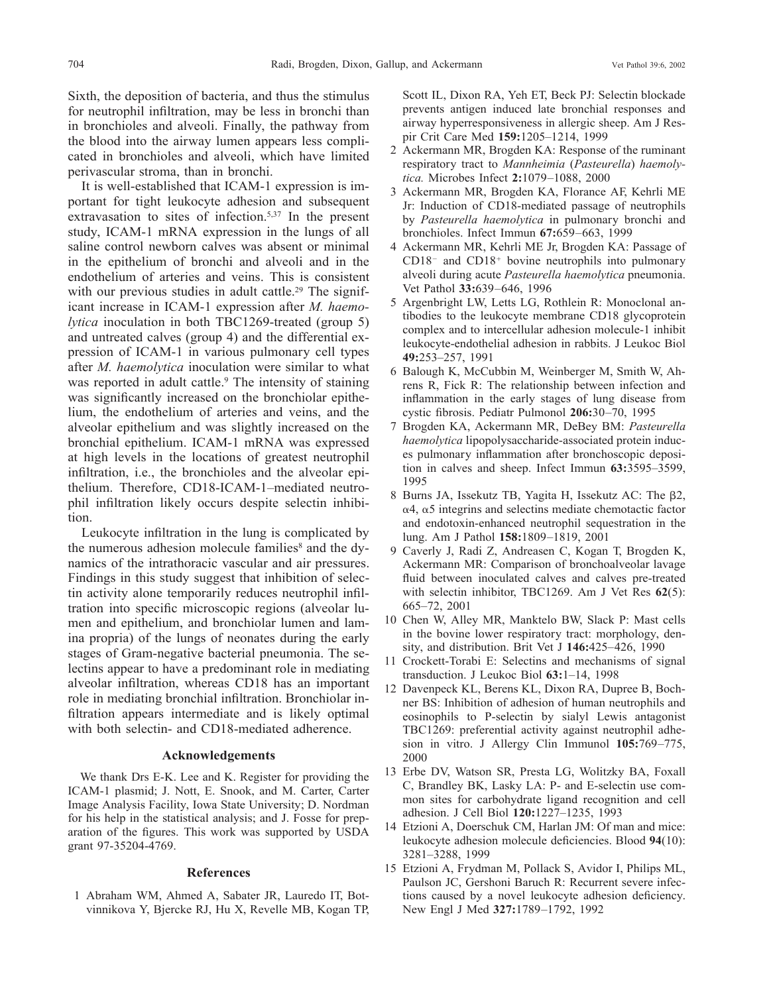Sixth, the deposition of bacteria, and thus the stimulus for neutrophil infiltration, may be less in bronchi than in bronchioles and alveoli. Finally, the pathway from the blood into the airway lumen appears less complicated in bronchioles and alveoli, which have limited perivascular stroma, than in bronchi.

It is well-established that ICAM-1 expression is important for tight leukocyte adhesion and subsequent extravasation to sites of infection.5,37 In the present study, ICAM-1 mRNA expression in the lungs of all saline control newborn calves was absent or minimal in the epithelium of bronchi and alveoli and in the endothelium of arteries and veins. This is consistent with our previous studies in adult cattle.<sup>29</sup> The significant increase in ICAM-1 expression after *M. haemolytica* inoculation in both TBC1269-treated (group 5) and untreated calves (group 4) and the differential expression of ICAM-1 in various pulmonary cell types after *M. haemolytica* inoculation were similar to what was reported in adult cattle.<sup>9</sup> The intensity of staining was significantly increased on the bronchiolar epithelium, the endothelium of arteries and veins, and the alveolar epithelium and was slightly increased on the bronchial epithelium. ICAM-1 mRNA was expressed at high levels in the locations of greatest neutrophil infiltration, i.e., the bronchioles and the alveolar epithelium. Therefore, CD18-ICAM-1–mediated neutrophil infiltration likely occurs despite selectin inhibition.

Leukocyte infiltration in the lung is complicated by the numerous adhesion molecule families<sup>8</sup> and the dynamics of the intrathoracic vascular and air pressures. Findings in this study suggest that inhibition of selectin activity alone temporarily reduces neutrophil infiltration into specific microscopic regions (alveolar lumen and epithelium, and bronchiolar lumen and lamina propria) of the lungs of neonates during the early stages of Gram-negative bacterial pneumonia. The selectins appear to have a predominant role in mediating alveolar infiltration, whereas CD18 has an important role in mediating bronchial infiltration. Bronchiolar infiltration appears intermediate and is likely optimal with both selectin- and CD18-mediated adherence.

## **Acknowledgements**

We thank Drs E-K. Lee and K. Register for providing the ICAM-1 plasmid; J. Nott, E. Snook, and M. Carter, Carter Image Analysis Facility, Iowa State University; D. Nordman for his help in the statistical analysis; and J. Fosse for preparation of the figures. This work was supported by USDA grant 97-35204-4769.

#### **References**

1 Abraham WM, Ahmed A, Sabater JR, Lauredo IT, Botvinnikova Y, Bjercke RJ, Hu X, Revelle MB, Kogan TP, Scott IL, Dixon RA, Yeh ET, Beck PJ: Selectin blockade prevents antigen induced late bronchial responses and airway hyperresponsiveness in allergic sheep. Am J Respir Crit Care Med **159:**1205–1214, 1999

- 2 Ackermann MR, Brogden KA: Response of the ruminant respiratory tract to *Mannheimia* (*Pasteurella*) *haemolytica.* Microbes Infect **2:**1079–1088, 2000
- 3 Ackermann MR, Brogden KA, Florance AF, Kehrli ME Jr: Induction of CD18-mediated passage of neutrophils by *Pasteurella haemolytica* in pulmonary bronchi and bronchioles. Infect Immun **67:**659–663, 1999
- 4 Ackermann MR, Kehrli ME Jr, Brogden KA: Passage of  $CD18<sup>-</sup>$  and  $CD18<sup>+</sup>$  bovine neutrophils into pulmonary alveoli during acute *Pasteurella haemolytica* pneumonia. Vet Pathol **33:**639–646, 1996
- 5 Argenbright LW, Letts LG, Rothlein R: Monoclonal antibodies to the leukocyte membrane CD18 glycoprotein complex and to intercellular adhesion molecule-1 inhibit leukocyte-endothelial adhesion in rabbits. J Leukoc Biol **49:**253–257, 1991
- 6 Balough K, McCubbin M, Weinberger M, Smith W, Ahrens R, Fick R: The relationship between infection and inflammation in the early stages of lung disease from cystic fibrosis. Pediatr Pulmonol **206:**30–70, 1995
- 7 Brogden KA, Ackermann MR, DeBey BM: *Pasteurella haemolytica* lipopolysaccharide-associated protein induces pulmonary inflammation after bronchoscopic deposition in calves and sheep. Infect Immun **63:**3595–3599, 1995
- 8 Burns JA, Issekutz TB, Yagita H, Issekutz AC: The  $\beta$ 2,  $\alpha$ 4,  $\alpha$ 5 integrins and selectins mediate chemotactic factor and endotoxin-enhanced neutrophil sequestration in the lung. Am J Pathol **158:**1809–1819, 2001
- 9 Caverly J, Radi Z, Andreasen C, Kogan T, Brogden K, Ackermann MR: Comparison of bronchoalveolar lavage fluid between inoculated calves and calves pre-treated with selectin inhibitor, TBC1269. Am J Vet Res **62**(5): 665–72, 2001
- 10 Chen W, Alley MR, Manktelo BW, Slack P: Mast cells in the bovine lower respiratory tract: morphology, density, and distribution. Brit Vet J **146:**425–426, 1990
- 11 Crockett-Torabi E: Selectins and mechanisms of signal transduction. J Leukoc Biol **63:**1–14, 1998
- 12 Davenpeck KL, Berens KL, Dixon RA, Dupree B, Bochner BS: Inhibition of adhesion of human neutrophils and eosinophils to P-selectin by sialyl Lewis antagonist TBC1269: preferential activity against neutrophil adhesion in vitro. J Allergy Clin Immunol **105:**769–775, 2000
- 13 Erbe DV, Watson SR, Presta LG, Wolitzky BA, Foxall C, Brandley BK, Lasky LA: P- and E-selectin use common sites for carbohydrate ligand recognition and cell adhesion. J Cell Biol **120:**1227–1235, 1993
- 14 Etzioni A, Doerschuk CM, Harlan JM: Of man and mice: leukocyte adhesion molecule deficiencies. Blood **94**(10): 3281–3288, 1999
- 15 Etzioni A, Frydman M, Pollack S, Avidor I, Philips ML, Paulson JC, Gershoni Baruch R: Recurrent severe infections caused by a novel leukocyte adhesion deficiency. New Engl J Med **327:**1789–1792, 1992